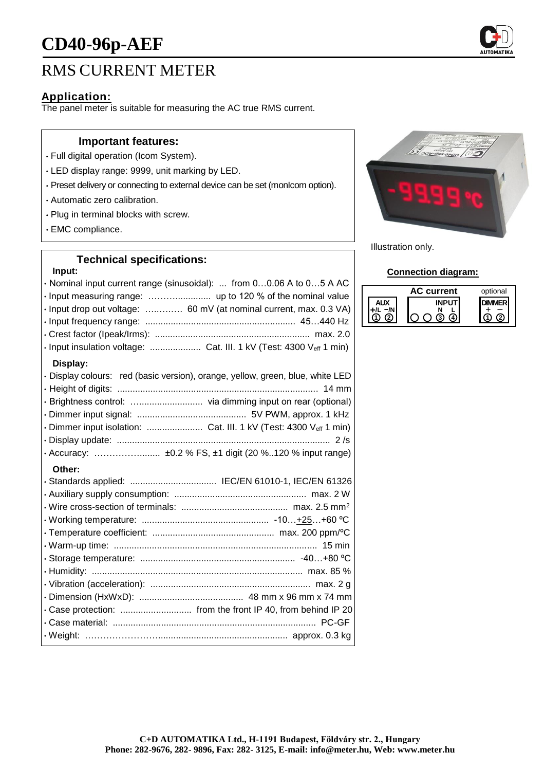# **CD40-96p-AEF**



### **Application:**

The panel meter is suitable for measuring the AC true RMS current.

#### **Important features:**

- Full digital operation (Icom System).
- LED display range: 9999, unit marking by LED.
- Preset delivery or connecting to external device can be set (monIcom option).
- Automatic zero calibration.
- Plug in terminal blocks with screw.
- EMC compliance.

# **Technical specifications:**

#### **Input:**

| · Nominal input current range (sinusoidal):  from 00.06 A to 05 A AC<br>· Input drop out voltage:  60 mV (at nominal current, max. 0.3 VA)<br>· Input insulation voltage:  Cat. III. 1 kV (Test: 4300 Veff 1 min) |
|-------------------------------------------------------------------------------------------------------------------------------------------------------------------------------------------------------------------|
| Display:                                                                                                                                                                                                          |
| · Display colours: red (basic version), orange, yellow, green, blue, white LED                                                                                                                                    |
| · Brightness control:  via dimming input on rear (optional)                                                                                                                                                       |
|                                                                                                                                                                                                                   |
| · Dimmer input isolation:  Cat. III. 1 kV (Test: 4300 Veff 1 min)                                                                                                                                                 |
|                                                                                                                                                                                                                   |
|                                                                                                                                                                                                                   |
| Other:                                                                                                                                                                                                            |
| · Standards applied:  IEC/EN 61010-1, IEC/EN 61326                                                                                                                                                                |
|                                                                                                                                                                                                                   |
|                                                                                                                                                                                                                   |
|                                                                                                                                                                                                                   |
|                                                                                                                                                                                                                   |
|                                                                                                                                                                                                                   |
|                                                                                                                                                                                                                   |
|                                                                                                                                                                                                                   |
|                                                                                                                                                                                                                   |
|                                                                                                                                                                                                                   |
| · Case protection:  from the front IP 40, from behind IP 20                                                                                                                                                       |
|                                                                                                                                                                                                                   |
|                                                                                                                                                                                                                   |



Illustration only.

#### **Connection diagram:**

| current | optional |
|---------|----------|
|         |          |